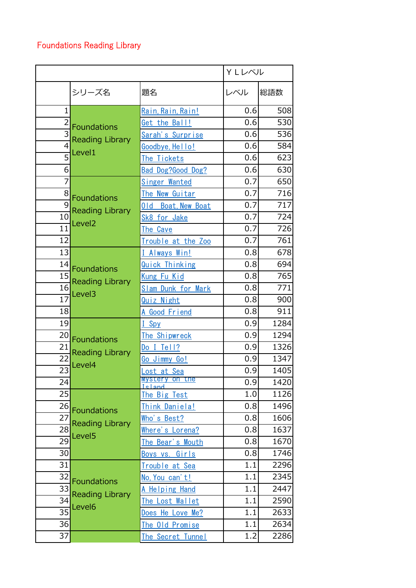## Foundations Reading Library

|                 |                                                                            |                           | YLレベル |      |
|-----------------|----------------------------------------------------------------------------|---------------------------|-------|------|
|                 | シリーズ名                                                                      | 題名                        | レベル   | 総語数  |
| $\mathbf{1}$    |                                                                            | Rain, Rain, Rain!         | 0.6   | 508  |
| $\overline{2}$  | Foundations<br><b>Reading Library</b><br>Level1                            | Get the Ball!             | 0.6   | 530  |
| $\overline{3}$  |                                                                            | Sarah's Surprise          | 0.6   | 536  |
| $\overline{4}$  |                                                                            | Goodbye, Hello!           | 0.6   | 584  |
| $\overline{5}$  |                                                                            | The Tickets               | 0.6   | 623  |
| 6               |                                                                            | Bad Dog?Good Dog?         | 0.6   | 630  |
| 7               | <b>Foundations</b><br><b>Reading Library</b><br>$\frac{1}{11}$ Level2      | <b>Singer Wanted</b>      | 0.7   | 650  |
| 8               |                                                                            | The New Guitar            | 0.7   | 716  |
| $\overline{9}$  |                                                                            | Old Boat, New Boat        | 0.7   | 717  |
| 10              |                                                                            | Sk8 for Jake              | 0.7   | 724  |
|                 |                                                                            | <b>The Cave</b>           | 0.7   | 726  |
| 12              |                                                                            | Trouble at the Zoo        | 0.7   | 761  |
| 13              |                                                                            | I Always Win!             | 0.8   | 678  |
|                 | 14 Foundations<br>$\frac{15}{16}$ Reading Library<br>$\frac{1}{17}$ Level3 | <b>Quick Thinking</b>     | 0.8   | 694  |
|                 |                                                                            | Kung Fu Kid               | 0.8   | 765  |
|                 |                                                                            | <b>Slam Dunk for Mark</b> | 0.8   | 771  |
|                 |                                                                            | <b>Quiz Night</b>         | 0.8   | 900  |
| 18              |                                                                            | A Good Friend             | 0.8   | 911  |
| 19              |                                                                            | I Spy                     | 0.9   | 1284 |
|                 | 20 Foundations<br><b>Reading Library</b><br>$\overline{23}$ Level4         | The Shipwreck             | 0.9   | 1294 |
| 21              |                                                                            | Do I Tell?                | 0.9   | 1326 |
| $\overline{22}$ |                                                                            | Go Jimmy Go!              | 0.9   | 1347 |
|                 |                                                                            | Lost at Sea               | 0.9   | 1405 |
| 24              |                                                                            | <u> Mystery on the </u>   | 0.9   | 1420 |
| 25              | Foundations<br><b>Reading Library</b><br>Level5                            | The Big Test              | 1.0   | 1126 |
| 26              |                                                                            | Think Daniela!            | 0.8   | 1496 |
| 27              |                                                                            | Who's Best?               | 0.8   | 1606 |
| 28              |                                                                            | Where's Lorena?           | 0.8   | 1637 |
| $\overline{29}$ |                                                                            | The Bear's Mouth          | 0.8   | 1670 |
| 30              |                                                                            | Boys vs. Girls            | 0.8   | 1746 |
| 31              | <b>Foundations</b><br><b>Reading Library</b><br>Level <sub>6</sub>         | Trouble at Sea            | 1.1   | 2296 |
| 32              |                                                                            | No. You can't!            | 1.1   | 2345 |
| 33              |                                                                            | <u>A Helping Hand</u>     | 1.1   | 2447 |
| 34              |                                                                            | The Lost Wallet           | 1.1   | 2590 |
| 35              |                                                                            | Does He Love Me?          | 1.1   | 2633 |
| 36              |                                                                            | The Old Promise           | 1.1   | 2634 |
| 37              |                                                                            | The Secret Tunnel         | 1.2   | 2286 |